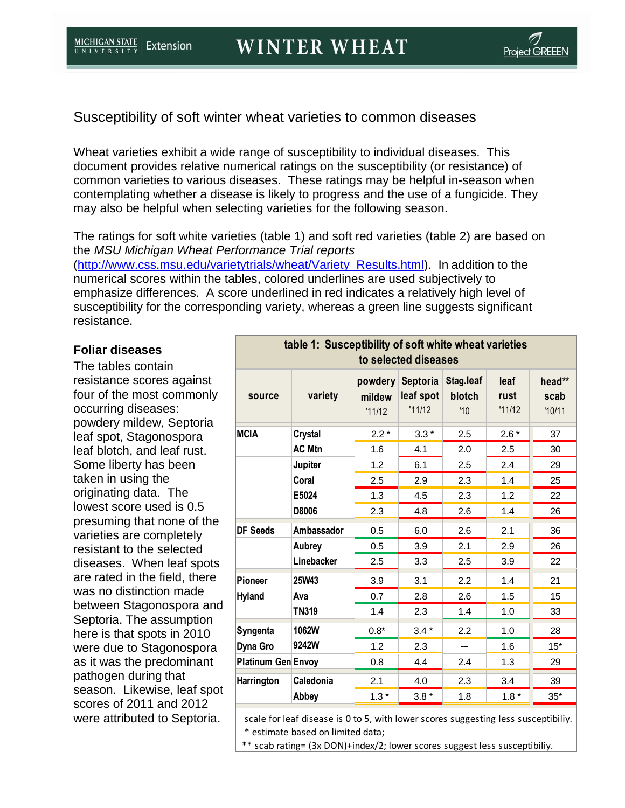Susceptibility of soft winter wheat varieties to common diseases

Wheat varieties exhibit a wide range of susceptibility to individual diseases. This document provides relative numerical ratings on the susceptibility (or resistance) of common varieties to various diseases. These ratings may be helpful in-season when contemplating whether a disease is likely to progress and the use of a fungicide. They may also be helpful when selecting varieties for the following season.

The ratings for soft white varieties (table 1) and soft red varieties (table 2) are based on the *MSU Michigan Wheat Performance Trial reports*

[\(http://www.css.msu.edu/varietytrials/wheat/Variety\\_Results.html\)](http://www.css.msu.edu/varietytrials/wheat/Variety_Results.html). In addition to the numerical scores within the tables, colored underlines are used subjectively to emphasize differences. A score underlined in red indicates a relatively high level of susceptibility for the corresponding variety, whereas a green line suggests significant resistance.

## **Foliar diseases**

The tables contain resistance scores against four of the most commonly occurring diseases: powdery mildew, Septoria leaf spot, Stagonospora leaf blotch, and leaf rust. Some liberty has been taken in using the originating data. The lowest score used is 0.5 presuming that none of the varieties are completely resistant to the selected diseases. When leaf spots are rated in the field, there was no distinction made between Stagonospora and Septoria. The assumption here is that spots in 2010 were due to Stagonospora as it was the predominant pathogen during that season. Likewise, leaf spot scores of 2011 and 2012 were attributed to Septoria.

| table 1: Susceptibility of soft white wheat varieties<br>to selected diseases |                |                             |                                 |                            |                        |                          |  |  |  |
|-------------------------------------------------------------------------------|----------------|-----------------------------|---------------------------------|----------------------------|------------------------|--------------------------|--|--|--|
| source                                                                        | variety        | powdery<br>mildew<br>'11/12 | Septoria<br>leaf spot<br>'11/12 | Stag.leaf<br>blotch<br>'10 | leaf<br>rust<br>'11/12 | head**<br>scab<br>'10/11 |  |  |  |
| <b>MCIA</b>                                                                   | <b>Crystal</b> | $2.2*$                      | $3.3*$                          | 2.5                        | $2.6*$                 | 37                       |  |  |  |
|                                                                               | <b>AC Mtn</b>  | 1.6                         | 4.1                             | 2.0                        | 2.5                    | 30                       |  |  |  |
|                                                                               | Jupiter        | 1.2                         | 6.1                             | 2.5                        | 2.4                    | 29                       |  |  |  |
|                                                                               | Coral          | 2.5                         | 2.9                             | 2.3                        | 1.4                    | 25                       |  |  |  |
|                                                                               | E5024          | 1.3                         | 4.5                             | 2.3                        | 1.2                    | 22                       |  |  |  |
|                                                                               | D8006          | 2.3                         | 4.8                             | 2.6                        | 1.4                    | 26                       |  |  |  |
| <b>DF Seeds</b>                                                               | Ambassador     | 0.5                         | 6.0                             | 2.6                        | 2.1                    | 36                       |  |  |  |
|                                                                               | Aubrey         | 0.5                         | 3.9                             | 2.1                        | 2.9                    | 26                       |  |  |  |
|                                                                               | Linebacker     | 2.5                         | 3.3                             | 2.5                        | 3.9                    | 22                       |  |  |  |
| <b>Pioneer</b>                                                                | 25W43          | 3.9                         | 3.1                             | 2.2                        | 1.4                    | 21                       |  |  |  |
| <b>Hyland</b>                                                                 | Ava            | 0.7                         | 2.8                             | 2.6                        | 1.5                    | 15                       |  |  |  |
|                                                                               | <b>TN319</b>   | 1.4                         | 2.3                             | 1.4                        | 1.0                    | 33                       |  |  |  |
| Syngenta                                                                      | 1062W          | $0.8*$                      | $3.4*$                          | 2.2                        | 1.0                    | 28                       |  |  |  |
| Dyna Gro                                                                      | 9242W          | 1.2                         | 2.3                             | ---                        | 1.6                    | $15*$                    |  |  |  |
| <b>Platinum Gen Envoy</b>                                                     |                | 0.8                         | 4.4                             | 2.4                        | 1.3                    | 29                       |  |  |  |
| Harrington                                                                    | Caledonia      | 2.1                         | 4.0                             | 2.3                        | 3.4                    | 39                       |  |  |  |
|                                                                               | Abbey          | $1.3*$                      | $3.8*$                          | 1.8                        | $1.8*$                 | $35*$                    |  |  |  |

 scale for leaf disease is 0 to 5, with lower scores suggesting less susceptibiliy. \* estimate based on limited data;

\*\* scab rating= (3x DON)+index/2; lower scores suggest less susceptibiliy.